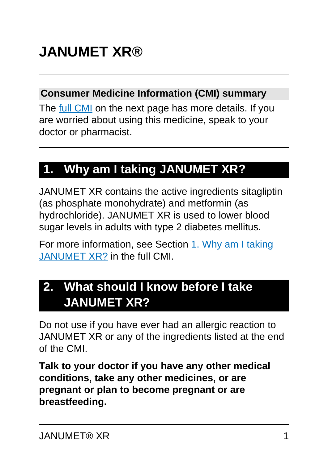#### **Consumer Medicine Information (CMI) summary**

The [full CMI](#page-4-0) on the next page has more details. If you are worried about using this medicine, speak to your doctor or pharmacist.

# **1. Why am I taking JANUMET XR?**

JANUMET XR contains the active ingredients sitagliptin (as phosphate monohydrate) and metformin (as hydrochloride). JANUMET XR is used to lower blood sugar levels in adults with type 2 diabetes mellitus.

For more information, see Section [1. Why am I taking](#page-4-1) [JANUMET XR?](#page-4-1) in the full CMI.

# **2. What should I know before I take JANUMET XR?**

Do not use if you have ever had an allergic reaction to JANUMET XR or any of the ingredients listed at the end of the CMI.

**Talk to your doctor if you have any other medical conditions, take any other medicines, or are pregnant or plan to become pregnant or are breastfeeding.**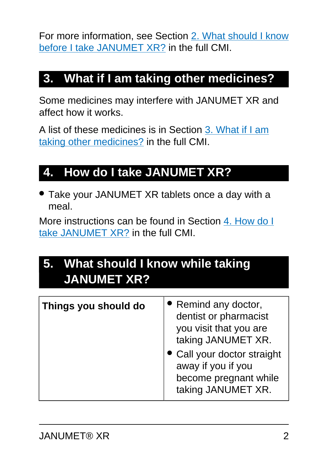For more information, see Section [2. What should I know](#page-5-0) [before I take JANUMET XR?](#page-5-0) in the full CMI.

# **3. What if I am taking other medicines?**

Some medicines may interfere with JANUMET XR and affect how it works.

A list of these medicines is in Section [3. What if I am](#page-6-0) [taking other medicines?](#page-6-0) in the full CMI.

# **4. How do I take JANUMET XR?**

• Take your JANUMET XR tablets once a day with a meal.

More instructions can be found in Section [4. How do I](#page-7-0) [take JANUMET XR?](#page-7-0) in the full CMI.

# **5. What should I know while taking JANUMET XR?**

| Things you should do | • Remind any doctor,<br>dentist or pharmacist<br>you visit that you are<br>taking JANUMET XR.<br>• Call your doctor straight<br>away if you if you<br>become pregnant while<br>taking JANUMET XR. |
|----------------------|---------------------------------------------------------------------------------------------------------------------------------------------------------------------------------------------------|
|                      |                                                                                                                                                                                                   |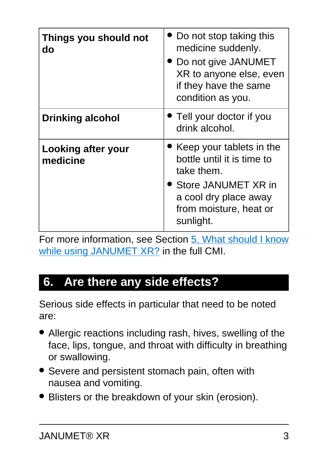| Things you should not<br>do    | Do not stop taking this<br>medicine suddenly.<br>Do not give JANUMET<br>XR to anyone else, even<br>if they have the same<br>condition as you.                        |
|--------------------------------|----------------------------------------------------------------------------------------------------------------------------------------------------------------------|
| <b>Drinking alcohol</b>        | • Tell your doctor if you<br>drink alcohol.                                                                                                                          |
| Looking after your<br>medicine | • Keep your tablets in the<br>bottle until it is time to<br>take them.<br><b>Store JANUMET XR in</b><br>a cool dry place away<br>from moisture, heat or<br>sunlight. |

For more information, see Section [5. What should I know](#page-9-0) [while using JANUMET XR?](#page-9-0) in the full CMI.

### **6. Are there any side effects?**

Serious side effects in particular that need to be noted are:

- Allergic reactions including rash, hives, swelling of the face, lips, tongue, and throat with difficulty in breathing or swallowing.
- Severe and persistent stomach pain, often with nausea and vomiting.
- Blisters or the breakdown of your skin (erosion).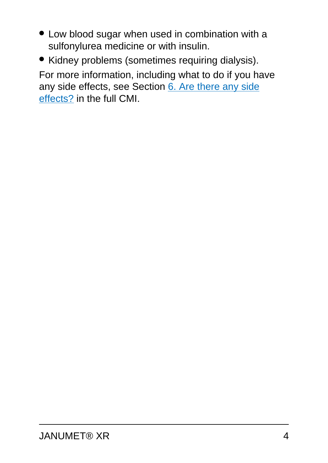- Low blood sugar when used in combination with a sulfonylurea medicine or with insulin.
- Kidney problems (sometimes requiring dialysis).

For more information, including what to do if you have any side effects, see Section [6. Are there any side](#page-14-0) [effects?](#page-14-0) in the full CMI.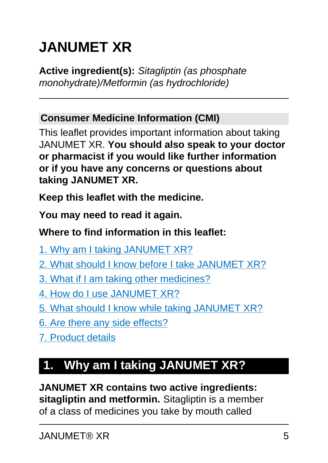# <span id="page-4-0"></span>**JANUMET XR**

**Active ingredient(s):** Sitagliptin (as phosphate monohydrate)/Metformin (as hydrochloride)

#### **Consumer Medicine Information (CMI)**

This leaflet provides important information about taking JANUMET XR. **You should also speak to your doctor or pharmacist if you would like further information or if you have any concerns or questions about taking JANUMET XR.**

**Keep this leaflet with the medicine.**

**You may need to read it again.**

#### **Where to find information in this leaflet:**

[1. Why am I taking JANUMET XR?](#page-4-1)

- [2. What should I know before I take JANUMET XR?](#page-5-0)
- [3. What if I am taking other medicines?](#page-6-0)
- [4. How do I use JANUMET XR?](#page-7-0)
- [5. What should I know while taking JANUMET XR?](#page-9-0)
- [6. Are there any side effects?](#page-14-0)
- [7. Product details](#page-16-0)

# <span id="page-4-1"></span>**1. Why am I taking JANUMET XR?**

**JANUMET XR contains two active ingredients: sitagliptin and metformin.** Sitagliptin is a member of a class of medicines you take by mouth called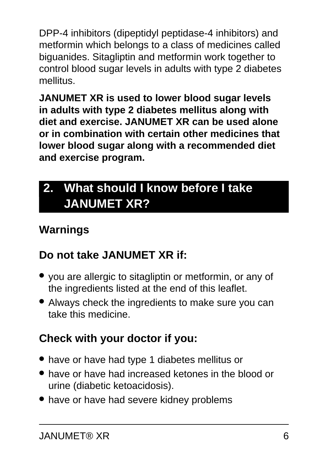DPP-4 inhibitors (dipeptidyl peptidase-4 inhibitors) and metformin which belongs to a class of medicines called biguanides. Sitagliptin and metformin work together to control blood sugar levels in adults with type 2 diabetes mellitus.

**JANUMET XR is used to lower blood sugar levels in adults with type 2 diabetes mellitus along with diet and exercise. JANUMET XR can be used alone or in combination with certain other medicines that lower blood sugar along with a recommended diet and exercise program.**

# <span id="page-5-0"></span>**2. What should I know before I take JANUMET XR?**

### **Warnings**

### **Do not take JANUMET XR if:**

- you are allergic to sitagliptin or metformin, or any of the ingredients listed at the end of this leaflet.
- Always check the ingredients to make sure you can take this medicine.

### **Check with your doctor if you:**

- have or have had type 1 diabetes mellitus or
- have or have had increased ketones in the blood or urine (diabetic ketoacidosis).
- have or have had severe kidney problems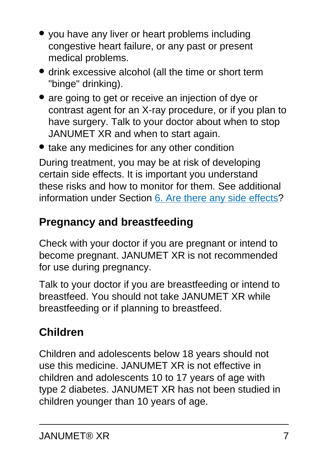- you have any liver or heart problems including congestive heart failure, or any past or present medical problems.
- drink excessive alcohol (all the time or short term "binge" drinking).
- are going to get or receive an injection of dye or contrast agent for an X-ray procedure, or if you plan to have surgery. Talk to your doctor about when to stop JANUMET XR and when to start again.

• take any medicines for any other condition

During treatment, you may be at risk of developing certain side effects. It is important you understand these risks and how to monitor for them. See additional information under Section [6. Are there any side effects](#page-14-0)?

#### **Pregnancy and breastfeeding**

Check with your doctor if you are pregnant or intend to become pregnant. JANUMET XR is not recommended for use during pregnancy.

Talk to your doctor if you are breastfeeding or intend to breastfeed. You should not take JANUMET XR while breastfeeding or if planning to breastfeed.

# **Children**

<span id="page-6-0"></span>Children and adolescents below 18 years should not use this medicine. JANUMET XR is not effective in children and adolescents 10 to 17 years of age with type 2 diabetes. JANUMET XR has not been studied in children younger than 10 years of age.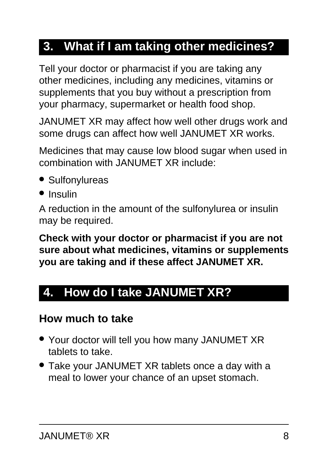# **3. What if I am taking other medicines?**

Tell your doctor or pharmacist if you are taking any other medicines, including any medicines, vitamins or supplements that you buy without a prescription from your pharmacy, supermarket or health food shop.

JANUMET XR may affect how well other drugs work and some drugs can affect how well JANUMET XR works.

Medicines that may cause low blood sugar when used in combination with JANUMET XR include:

- Sulfonylureas
- Insulin

A reduction in the amount of the sulfonylurea or insulin may be required.

**Check with your doctor or pharmacist if you are not sure about what medicines, vitamins or supplements you are taking and if these affect JANUMET XR.**

# <span id="page-7-0"></span>**4. How do I take JANUMET XR?**

#### **How much to take**

- Your doctor will tell you how many JANUMET XR tablets to take.
- Take your JANUMET XR tablets once a day with a meal to lower your chance of an upset stomach.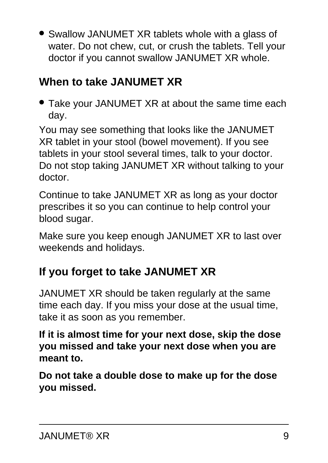• Swallow JANUMET XR tablets whole with a glass of water. Do not chew, cut, or crush the tablets. Tell your doctor if you cannot swallow JANUMET XR whole.

#### **When to take JANUMET XR**

• Take your JANUMET XR at about the same time each day.

You may see something that looks like the JANUMET XR tablet in your stool (bowel movement). If you see tablets in your stool several times, talk to your doctor. Do not stop taking JANUMET XR without talking to your doctor.

Continue to take JANUMET XR as long as your doctor prescribes it so you can continue to help control your blood sugar.

Make sure you keep enough JANUMET XR to last over weekends and holidays.

#### **If you forget to take JANUMET XR**

JANUMET XR should be taken regularly at the same time each day. If you miss your dose at the usual time, take it as soon as you remember.

**If it is almost time for your next dose, skip the dose you missed and take your next dose when you are meant to.**

**Do not take a double dose to make up for the dose you missed.**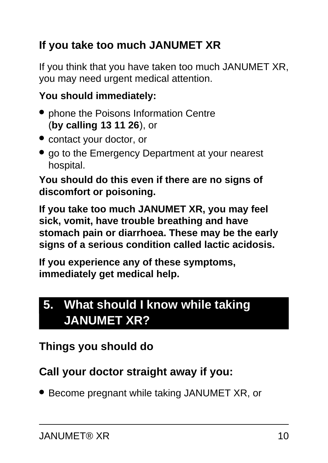# **If you take too much JANUMET XR**

If you think that you have taken too much JANUMET XR, you may need urgent medical attention.

#### **You should immediately:**

- phone the Poisons Information Centre (**by calling 13 11 26**), or
- contact your doctor, or
- go to the Emergency Department at your nearest hospital.

**You should do this even if there are no signs of discomfort or poisoning.**

**If you take too much JANUMET XR, you may feel sick, vomit, have trouble breathing and have stomach pain or diarrhoea. These may be the early signs of a serious condition called lactic acidosis.**

**If you experience any of these symptoms, immediately get medical help.**

# <span id="page-9-0"></span>**5. What should I know while taking JANUMET XR?**

# **Things you should do**

### **Call your doctor straight away if you:**

● Become pregnant while taking JANUMET XR, or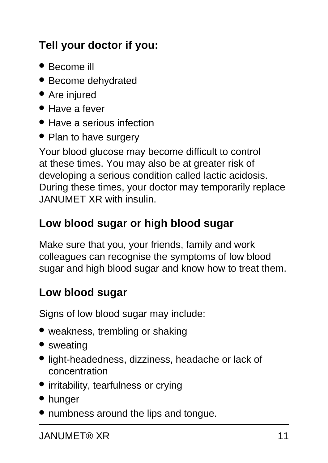# **Tell your doctor if you:**

- Become ill
- Become dehydrated
- Are injured
- Have a fever
- Have a serious infection
- Plan to have surgery

Your blood glucose may become difficult to control at these times. You may also be at greater risk of developing a serious condition called lactic acidosis. During these times, your doctor may temporarily replace JANUMET XR with insulin.

### **Low blood sugar or high blood sugar**

Make sure that you, your friends, family and work colleagues can recognise the symptoms of low blood sugar and high blood sugar and know how to treat them.

### **Low blood sugar**

Signs of low blood sugar may include:

- weakness, trembling or shaking
- sweating
- light-headedness, dizziness, headache or lack of concentration
- irritability, tearfulness or crying
- hunger
- numbness around the lips and tongue.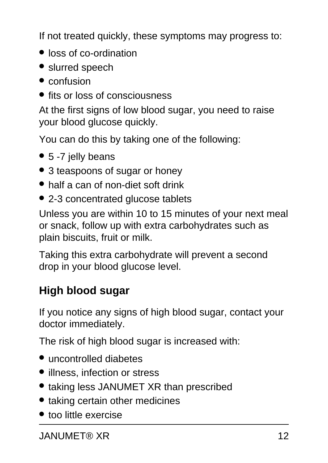If not treated quickly, these symptoms may progress to:

- loss of co-ordination
- slurred speech
- confusion
- fits or loss of consciousness

At the first signs of low blood sugar, you need to raise your blood glucose quickly.

You can do this by taking one of the following:

- 5 -7 jelly beans
- 3 teaspoons of sugar or honey
- half a can of non-diet soft drink
- 2-3 concentrated glucose tablets

Unless you are within 10 to 15 minutes of your next meal or snack, follow up with extra carbohydrates such as plain biscuits, fruit or milk.

Taking this extra carbohydrate will prevent a second drop in your blood glucose level.

#### **High blood sugar**

If you notice any signs of high blood sugar, contact your doctor immediately.

The risk of high blood sugar is increased with:

- uncontrolled diabetes
- illness, infection or stress
- taking less JANUMET XR than prescribed
- taking certain other medicines
- too little exercise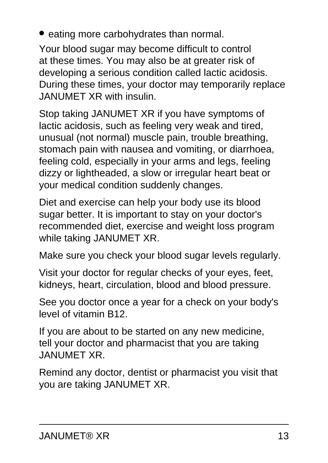• eating more carbohydrates than normal.

Your blood sugar may become difficult to control at these times. You may also be at greater risk of developing a serious condition called lactic acidosis. During these times, your doctor may temporarily replace JANUMET XR with insulin.

Stop taking JANUMET XR if you have symptoms of lactic acidosis, such as feeling very weak and tired, unusual (not normal) muscle pain, trouble breathing, stomach pain with nausea and vomiting, or diarrhoea, feeling cold, especially in your arms and legs, feeling dizzy or lightheaded, a slow or irregular heart beat or your medical condition suddenly changes.

Diet and exercise can help your body use its blood sugar better. It is important to stay on your doctor's recommended diet, exercise and weight loss program while taking JANUMET XR.

Make sure you check your blood sugar levels regularly.

Visit your doctor for regular checks of your eyes, feet, kidneys, heart, circulation, blood and blood pressure.

See you doctor once a year for a check on your body's level of vitamin B12.

If you are about to be started on any new medicine, tell your doctor and pharmacist that you are taking JANUMET XR.

Remind any doctor, dentist or pharmacist you visit that you are taking JANUMET XR.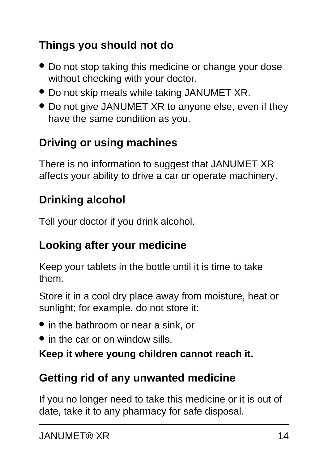### **Things you should not do**

- Do not stop taking this medicine or change your dose without checking with your doctor.
- Do not skip meals while taking JANUMET XR.
- Do not give JANUMET XR to anyone else, even if they have the same condition as you.

#### **Driving or using machines**

There is no information to suggest that JANUMET XR affects your ability to drive a car or operate machinery.

#### **Drinking alcohol**

Tell your doctor if you drink alcohol.

#### **Looking after your medicine**

Keep your tablets in the bottle until it is time to take them.

Store it in a cool dry place away from moisture, heat or sunlight; for example, do not store it:

- in the bathroom or near a sink, or
- in the car or on window sills.

#### **Keep it where young children cannot reach it.**

#### **Getting rid of any unwanted medicine**

If you no longer need to take this medicine or it is out of date, take it to any pharmacy for safe disposal.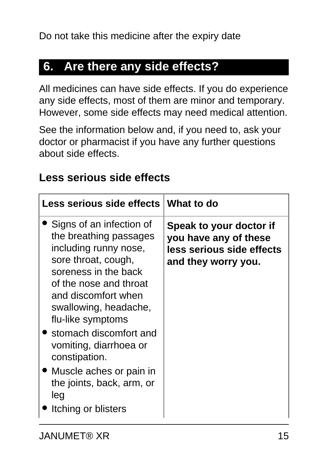#### <span id="page-14-0"></span>**6. Are there any side effects?**

All medicines can have side effects. If you do experience any side effects, most of them are minor and temporary. However, some side effects may need medical attention.

See the information below and, if you need to, ask your doctor or pharmacist if you have any further questions about side effects.

#### **Less serious side effects**

| Less serious side effects   What to do                                                                                                                                                                                                                                                                                                                                                   |                                                                                                      |
|------------------------------------------------------------------------------------------------------------------------------------------------------------------------------------------------------------------------------------------------------------------------------------------------------------------------------------------------------------------------------------------|------------------------------------------------------------------------------------------------------|
| Signs of an infection of<br>the breathing passages<br>including runny nose,<br>sore throat, cough,<br>soreness in the back<br>of the nose and throat<br>and discomfort when<br>swallowing, headache,<br>flu-like symptoms<br>• stomach discomfort and<br>vomiting, diarrhoea or<br>constipation.<br>• Muscle aches or pain in<br>the joints, back, arm, or<br>leg<br>Itching or blisters | Speak to your doctor if<br>you have any of these<br>less serious side effects<br>and they worry you. |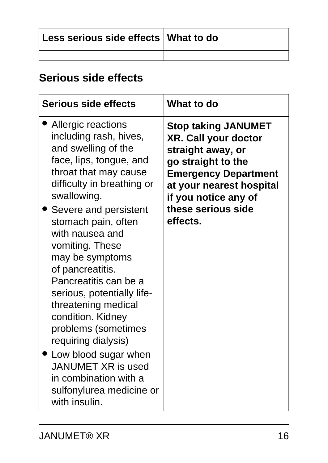| Less serious side effects   What to do |  |
|----------------------------------------|--|
|                                        |  |

#### **Serious side effects**

| <b>Serious side effects</b>                                                                                                                                                                                                                                                                                                                                                                                                                                                                                                                                            | What to do                                                                                                                                                                                                                |
|------------------------------------------------------------------------------------------------------------------------------------------------------------------------------------------------------------------------------------------------------------------------------------------------------------------------------------------------------------------------------------------------------------------------------------------------------------------------------------------------------------------------------------------------------------------------|---------------------------------------------------------------------------------------------------------------------------------------------------------------------------------------------------------------------------|
| Allergic reactions<br>including rash, hives,<br>and swelling of the<br>face, lips, tongue, and<br>throat that may cause<br>difficulty in breathing or<br>swallowing.<br>Severe and persistent<br>stomach pain, often<br>with nausea and<br>vomiting. These<br>may be symptoms<br>of pancreatitis.<br>Pancreatitis can be a<br>serious, potentially life-<br>threatening medical<br>condition. Kidney<br>problems (sometimes<br>requiring dialysis)<br>Low blood sugar when<br>JANUMET XR is used<br>in combination with a<br>sulfonylurea medicine or<br>with insulin. | <b>Stop taking JANUMET</b><br><b>XR. Call your doctor</b><br>straight away, or<br>go straight to the<br><b>Emergency Department</b><br>at your nearest hospital<br>if you notice any of<br>these serious side<br>effects. |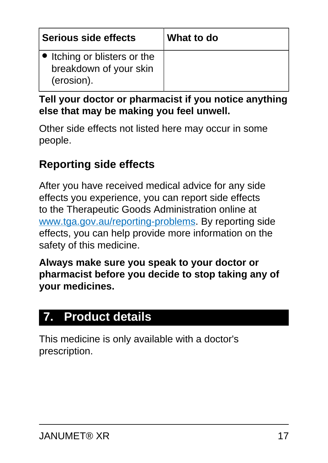| Serious side effects                                                 | What to do |
|----------------------------------------------------------------------|------------|
| • Itching or blisters or the<br>breakdown of your skin<br>(erosion). |            |

#### **Tell your doctor or pharmacist if you notice anything else that may be making you feel unwell.**

Other side effects not listed here may occur in some people.

#### **Reporting side effects**

After you have received medical advice for any side effects you experience, you can report side effects to the Therapeutic Goods Administration online at [www.tga.gov.au/reporting-problems.](http://www.tga.gov.au/reporting-problems) By reporting side effects, you can help provide more information on the safety of this medicine.

**Always make sure you speak to your doctor or pharmacist before you decide to stop taking any of your medicines.**

# <span id="page-16-0"></span>**7. Product details**

This medicine is only available with a doctor's prescription.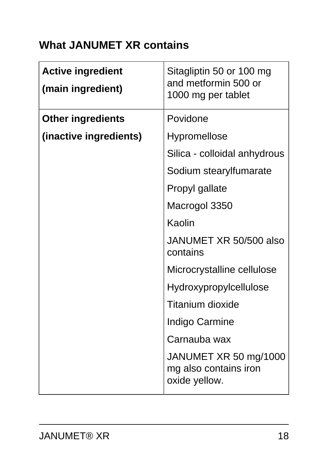#### **What JANUMET XR contains**

| <b>Active ingredient</b><br>(main ingredient) | Sitagliptin 50 or 100 mg<br>and metformin 500 or<br>1000 mg per tablet |
|-----------------------------------------------|------------------------------------------------------------------------|
| <b>Other ingredients</b>                      | Povidone                                                               |
| (inactive ingredients)                        | <b>Hypromellose</b>                                                    |
|                                               | Silica - colloidal anhydrous                                           |
|                                               | Sodium stearylfumarate                                                 |
|                                               | Propyl gallate                                                         |
|                                               | Macrogol 3350                                                          |
|                                               | Kaolin                                                                 |
|                                               | JANUMET XR 50/500 also<br>contains                                     |
|                                               | Microcrystalline cellulose                                             |
|                                               | <b>Hydroxypropylcellulose</b>                                          |
|                                               | Titanium dioxide                                                       |
|                                               | Indigo Carmine                                                         |
|                                               | Carnauba wax                                                           |
|                                               | JANUMET XR 50 mg/1000<br>mg also contains iron<br>oxide yellow.        |